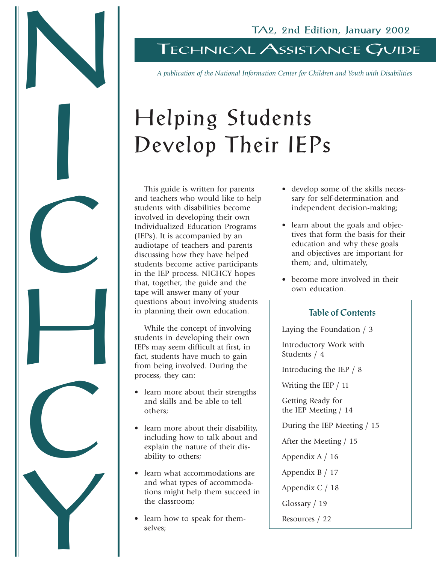# TECHNICAL ASSISTANCE GUIDE

*A publication of the National Information Center for Children and Youth with Disabilities*

# Helping Students Develop Their IEPs

This guide is written for parents and teachers who would like to help students with disabilities become involved in developing their own Individualized Education Programs (IEPs). It is accompanied by an audiotape of teachers and parents discussing how they have helped students become active participants in the IEP process. NICHCY hopes that, together, the guide and the tape will answer many of your questions about involving students in planning their own education.

N

I

C<br>C

H

C.

Y

While the concept of involving students in developing their own IEPs may seem difficult at first, in fact, students have much to gain from being involved. During the process, they can:

- learn more about their strengths and skills and be able to tell others;
- learn more about their disability, including how to talk about and explain the nature of their disability to others;
- learn what accommodations are and what types of accommodations might help them succeed in the classroom;
- learn how to speak for themselves;
- develop some of the skills necessary for self-determination and independent decision-making;
- learn about the goals and objectives that form the basis for their education and why these goals and objectives are important for them; and, ultimately,
- become more involved in their own education.

## Table of Contents

Laying the Foundation / 3

Introductory Work with Students / 4

Introducing the IEP / 8

Writing the IEP / 11

Getting Ready for the IEP Meeting / 14

During the IEP Meeting / 15

After the Meeting / 15

Appendix A / 16

Appendix B / 17

Appendix C / 18

Glossary / 19

Resources / 22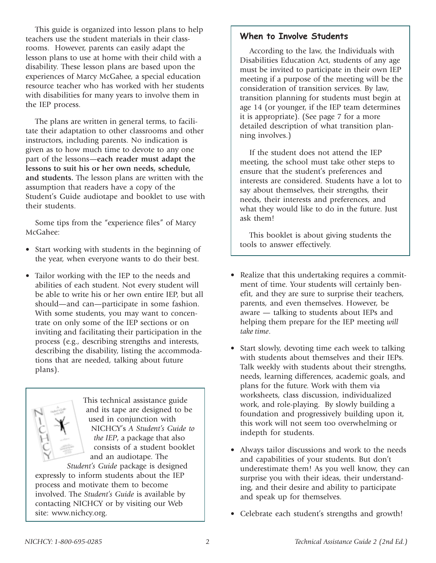This guide is organized into lesson plans to help teachers use the student materials in their classrooms. However, parents can easily adapt the lesson plans to use at home with their child with a disability. These lesson plans are based upon the experiences of Marcy McGahee, a special education resource teacher who has worked with her students with disabilities for many years to involve them in the IEP process.

The plans are written in general terms, to facilitate their adaptation to other classrooms and other instructors, including parents. No indication is given as to how much time to devote to any one part of the lessons—**each reader must adapt the lessons to suit his or her own needs, schedule, and students.** The lesson plans are written with the assumption that readers have a copy of the Student's Guide audiotape and booklet to use with their students.

Some tips from the "experience files" of Marcy McGahee:

- Start working with students in the beginning of the year, when everyone wants to do their best.
- Tailor working with the IEP to the needs and abilities of each student. Not every student will be able to write his or her own entire IEP, but all should—and can—participate in some fashion. With some students, you may want to concentrate on only some of the IEP sections or on inviting and facilitating their participation in the process (e.g., describing strengths and interests, describing the disability, listing the accommodations that are needed, talking about future plans).



This technical assistance guide and its tape are designed to be used in conjunction with NICHCY's *A Student's Guide to the IEP*, a package that also consists of a student booklet and an audiotape. The

*Student's Guide* package is designed expressly to inform students about the IEP process and motivate them to become involved. The *Student's Guide* is available by contacting NICHCY or by visiting our Web site: www.nichcy.org.

## When to Involve Students

According to the law, the Individuals with Disabilities Education Act, students of any age must be invited to participate in their own IEP meeting if a purpose of the meeting will be the consideration of transition services. By law, transition planning for students must begin at age 14 (or younger, if the IEP team determines it is appropriate). (See page 7 for a more detailed description of what transition planning involves.)

If the student does not attend the IEP meeting, the school must take other steps to ensure that the student's preferences and interests are considered. Students have a lot to say about themselves, their strengths, their needs, their interests and preferences, and what they would like to do in the future. Just ask them!

This booklet is about giving students the tools to answer effectively.

- Realize that this undertaking requires a commitment of time. Your students will certainly benefit, and they are sure to surprise their teachers, parents, and even themselves. However, be aware — talking to students about IEPs and helping them prepare for the IEP meeting *will take time*.
- Start slowly, devoting time each week to talking with students about themselves and their IEPs. Talk weekly with students about their strengths, needs, learning differences, academic goals, and plans for the future. Work with them via worksheets, class discussion, individualized work, and role-playing. By slowly building a foundation and progressively building upon it, this work will not seem too overwhelming or indepth for students.
- Always tailor discussions and work to the needs and capabilities of your students. But don't underestimate them! As you well know, they can surprise you with their ideas, their understanding, and their desire and ability to participate and speak up for themselves.
- Celebrate each student's strengths and growth!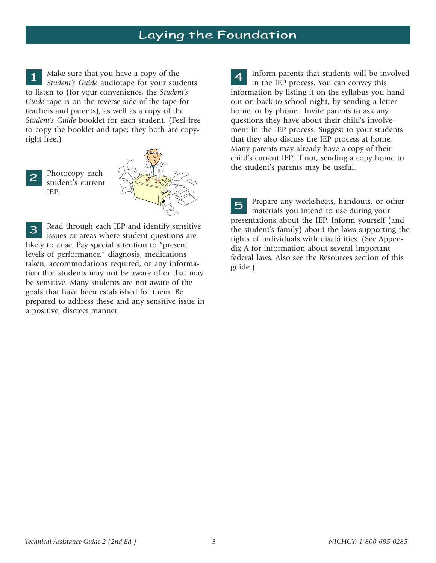# Laying the Foundation

Make sure that you have a copy of the *Student's Guide* audiotape for your students to listen to (for your convenience, the *Student's Guide* tape is on the reverse side of the tape for teachers and parents), as well as a copy of the *Student's Guide* booklet for each student. (Feel free to copy the booklet and tape; they both are copyright free.) 1

Photocopy each student's current IEP. 2



Read through each IEP and identify sensitive issues or areas where student questions are likely to arise. Pay special attention to "present levels of performance," diagnosis, medications taken, accommodations required, or any information that students may not be aware of or that may be sensitive. Many students are not aware of the goals that have been established for them. Be prepared to address these and any sensitive issue in a positive, discreet manner. 3  $\mathbf{r}$ 

4 Inform parents that students will be involved in the IEP process. You can convey this information by listing it on the syllabus you hand out on back-to-school night, by sending a letter home, or by phone. Invite parents to ask any questions they have about their child's involvement in the IEP process. Suggest to your students that they also discuss the IEP process at home. Many parents may already have a copy of their child's current IEP. If not, sending a copy home to the student's parents may be useful.

Prepare any worksheets, handouts, or other materials you intend to use during your presentations about the IEP. Inform yourself (and the student's family) about the laws supporting the rights of individuals with disabilities. (See Appendix A for information about several important federal laws. Also see the Resources section of this guide.) 5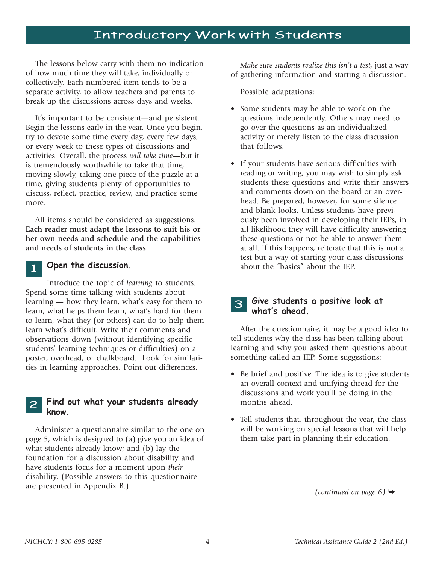# Introductory Work with Students

The lessons below carry with them no indication of how much time they will take, individually or collectively. Each numbered item tends to be a separate activity, to allow teachers and parents to break up the discussions across days and weeks.

It's important to be consistent—and persistent. Begin the lessons early in the year. Once you begin, try to devote some time every day, every few days, or every week to these types of discussions and activities. Overall, the process *will take time*—but it is tremendously worthwhile to take that time, moving slowly, taking one piece of the puzzle at a time, giving students plenty of opportunities to discuss, reflect, practice, review, and practice some more.

All items should be considered as suggestions. **Each reader must adapt the lessons to suit his or her own needs and schedule and the capabilities and needs of students in the class.**

#### Open the discussion. 1

Introduce the topic of *learning* to students. Spend some time talking with students about learning — how they learn, what's easy for them to learn, what helps them learn, what's hard for them to learn, what they (or others) can do to help them learn what's difficult. Write their comments and observations down (without identifying specific students' learning techniques or difficulties) on a poster, overhead, or chalkboard. Look for similarities in learning approaches. Point out differences.

#### Find out what your students already know. 2

Administer a questionnaire similar to the one on page 5, which is designed to (a) give you an idea of what students already know; and (b) lay the foundation for a discussion about disability and have students focus for a moment upon *their* disability. (Possible answers to this questionnaire are presented in Appendix B.)

*Make sure students realize this isn't a test,* just a way of gathering information and starting a discussion.

Possible adaptations:

- Some students may be able to work on the questions independently. Others may need to go over the questions as an individualized activity or merely listen to the class discussion that follows.
- If your students have serious difficulties with reading or writing, you may wish to simply ask students these questions and write their answers and comments down on the board or an overhead. Be prepared, however, for some silence and blank looks. Unless students have previously been involved in developing their IEPs, in all likelihood they will have difficulty answering these questions or not be able to answer them at all. If this happens, reiterate that this is not a test but a way of starting your class discussions about the "basics" about the IEP.

#### Give students a positive look at what's ahead. 3

After the questionnaire, it may be a good idea to tell students why the class has been talking about learning and why you asked them questions about something called an IEP. Some suggestions:

- Be brief and positive. The idea is to give students an overall context and unifying thread for the discussions and work you'll be doing in the months ahead.
- Tell students that, throughout the year, the class will be working on special lessons that will help them take part in planning their education.

*(continued on page 6)*  $\rightarrow$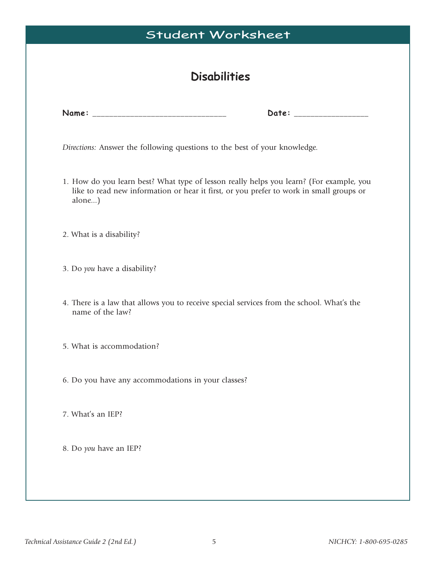| <b>Disabilities</b><br>Date: __________________<br>Directions: Answer the following questions to the best of your knowledge.<br>1. How do you learn best? What type of lesson really helps you learn? (For example, you<br>like to read new information or hear it first, or you prefer to work in small groups or<br>alone)<br>2. What is a disability?<br>3. Do you have a disability?<br>4. There is a law that allows you to receive special services from the school. What's the<br>name of the law?<br>5. What is accommodation? |
|----------------------------------------------------------------------------------------------------------------------------------------------------------------------------------------------------------------------------------------------------------------------------------------------------------------------------------------------------------------------------------------------------------------------------------------------------------------------------------------------------------------------------------------|
|                                                                                                                                                                                                                                                                                                                                                                                                                                                                                                                                        |
|                                                                                                                                                                                                                                                                                                                                                                                                                                                                                                                                        |
|                                                                                                                                                                                                                                                                                                                                                                                                                                                                                                                                        |
|                                                                                                                                                                                                                                                                                                                                                                                                                                                                                                                                        |
|                                                                                                                                                                                                                                                                                                                                                                                                                                                                                                                                        |
|                                                                                                                                                                                                                                                                                                                                                                                                                                                                                                                                        |
|                                                                                                                                                                                                                                                                                                                                                                                                                                                                                                                                        |
|                                                                                                                                                                                                                                                                                                                                                                                                                                                                                                                                        |
| 6. Do you have any accommodations in your classes?                                                                                                                                                                                                                                                                                                                                                                                                                                                                                     |
| 7. What's an IEP?                                                                                                                                                                                                                                                                                                                                                                                                                                                                                                                      |
| 8. Do you have an IEP?                                                                                                                                                                                                                                                                                                                                                                                                                                                                                                                 |
|                                                                                                                                                                                                                                                                                                                                                                                                                                                                                                                                        |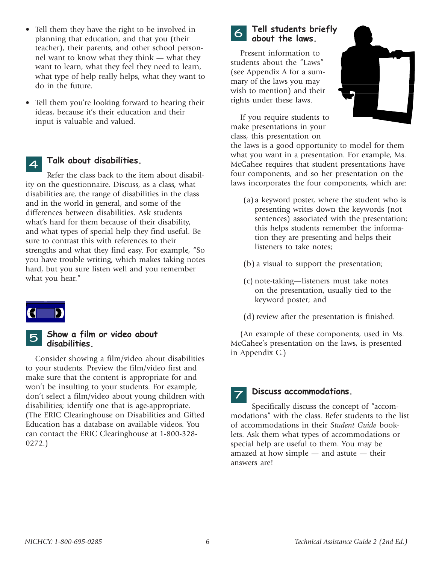- Tell them they have the right to be involved in planning that education, and that you (their teacher), their parents, and other school personnel want to know what they think — what they want to learn, what they feel they need to learn, what type of help really helps, what they want to do in the future.
- Tell them you're looking forward to hearing their ideas, because it's their education and their input is valuable and valued.

#### Talk about disabilities. 4

Refer the class back to the item about disability on the questionnaire. Discuss, as a class, what disabilities are, the range of disabilities in the class and in the world in general, and some of the differences between disabilities. Ask students what's hard for them because of their disability, and what types of special help they find useful. Be sure to contrast this with references to their strengths and what they find easy. For example, "So you have trouble writing, which makes taking notes hard, but you sure listen well and you remember what you hear."



#### Show a film or video about disabilities. 5

Consider showing a film/video about disabilities to your students. Preview the film/video first and make sure that the content is appropriate for and won't be insulting to your students. For example, don't select a film/video about young children with disabilities; identify one that is age-appropriate. (The ERIC Clearinghouse on Disabilities and Gifted Education has a database on available videos. You can contact the ERIC Clearinghouse at 1-800-328- 0272.)



#### Tell students briefly about the laws.

Present information to students about the "Laws" (see Appendix A for a summary of the laws you may wish to mention) and their rights under these laws.

If you require students to make presentations in your class, this presentation on



the laws is a good opportunity to model for them what you want in a presentation. For example, Ms. McGahee requires that student presentations have four components, and so her presentation on the laws incorporates the four components, which are:

- (a) a keyword poster, where the student who is presenting writes down the keywords (not sentences) associated with the presentation; this helps students remember the information they are presenting and helps their listeners to take notes;
- (b) a visual to support the presentation;
- (c) note-taking—listeners must take notes on the presentation, usually tied to the keyword poster; and
- (d) review after the presentation is finished.

(An example of these components, used in Ms. McGahee's presentation on the laws, is presented in Appendix C.)

#### Discuss accommodations. 7

Specifically discuss the concept of "accommodations" with the class. Refer students to the list of accommodations in their *Student Guide* booklets. Ask them what types of accommodations or special help are useful to them. You may be amazed at how simple — and astute — their answers are!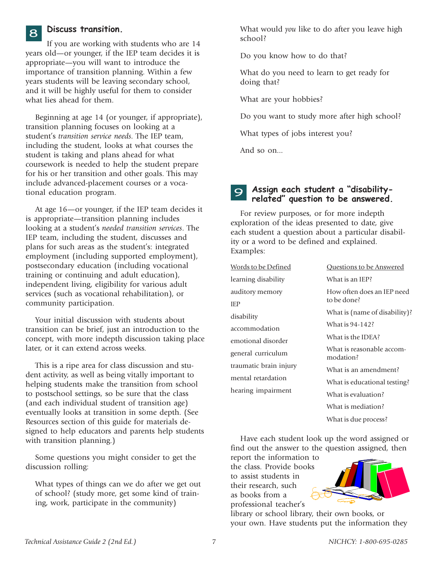#### Discuss transition.

8

If you are working with students who are 14 years old—or younger, if the IEP team decides it is appropriate—you will want to introduce the importance of transition planning. Within a few years students will be leaving secondary school, and it will be highly useful for them to consider what lies ahead for them.

Beginning at age 14 (or younger, if appropriate), transition planning focuses on looking at a student's *transition service needs*. The IEP team, including the student, looks at what courses the student is taking and plans ahead for what coursework is needed to help the student prepare for his or her transition and other goals. This may include advanced-placement courses or a vocational education program.

At age 16—or younger, if the IEP team decides it is appropriate—transition planning includes looking at a student's *needed transition services*. The IEP team, including the student, discusses and plans for such areas as the student's: integrated employment (including supported employment), postsecondary education (including vocational training or continuing and adult education), independent living, eligibility for various adult services (such as vocational rehabilitation), or community participation.

Your initial discussion with students about transition can be brief, just an introduction to the concept, with more indepth discussion taking place later, or it can extend across weeks.

This is a ripe area for class discussion and student activity, as well as being vitally important to helping students make the transition from school to postschool settings, so be sure that the class (and each individual student of transition age) eventually looks at transition in some depth. (See Resources section of this guide for materials designed to help educators and parents help students with transition planning.)

Some questions you might consider to get the discussion rolling:

What types of things can we do after we get out of school? (study more, get some kind of training, work, participate in the community)

What would *you* like to do after you leave high school?

Do you know how to do that?

What do you need to learn to get ready for doing that?

What are your hobbies?

Do you want to study more after high school?

What types of jobs interest you?

And so on...

IEP

#### Assign each student a "disabilityrelated" question to be answered. 9

For review purposes, or for more indepth exploration of the ideas presented to date, give each student a question about a particular disability or a word to be defined and explained. Examples:

| Words to be Defined    | Questions to be Answered               |  |
|------------------------|----------------------------------------|--|
| learning disability    | What is an IEP?                        |  |
| auditory memory        | How often does an IEP need             |  |
| IEP                    | to be done?                            |  |
| disability             | What is (name of disability)?          |  |
| accommodation          | What is 94-142?                        |  |
| emotional disorder     | What is the IDEA?                      |  |
| general curriculum     | What is reasonable accom-<br>modation? |  |
| traumatic brain injury | What is an amendment?                  |  |
| mental retardation     | What is educational testing?           |  |
| hearing impairment     | What is evaluation?                    |  |
|                        | What is mediation?                     |  |
|                        | What is due process?                   |  |

Have each student look up the word assigned or find out the answer to the question assigned, then

report the information to the class. Provide books to assist students in their research, such as books from a professional teacher's



library or school library, their own books, or your own. Have students put the information they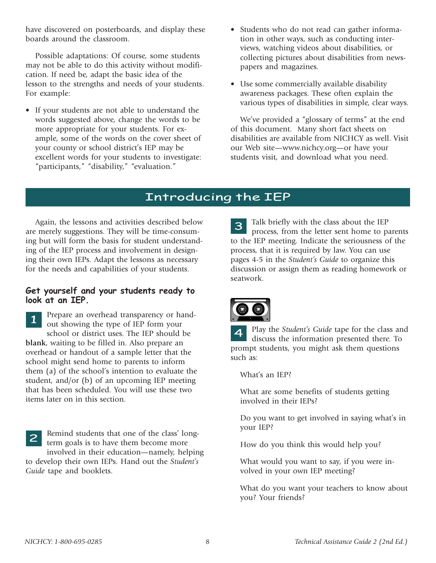have discovered on posterboards, and display these boards around the classroom.

Possible adaptations: Of course, some students may not be able to do this activity without modification. If need be, adapt the basic idea of the lesson to the strengths and needs of your students. For example:

- If your students are not able to understand the words suggested above, change the words to be more appropriate for your students. For example, some of the words on the cover sheet of your county or school district's IEP may be excellent words for your students to investigate: "participants," "disability," "evaluation."
- Students who do not read can gather information in other ways, such as conducting interviews, watching videos about disabilities, or collecting pictures about disabilities from newspapers and magazines.
- Use some commercially available disability awareness packages. These often explain the various types of disabilities in simple, clear ways.

We've provided a "glossary of terms" at the end of this document. Many short fact sheets on disabilities are available from NICHCY as well. Visit our Web site—www.nichcy.org—or have your students visit, and download what you need.

## Introducing the IEP

Again, the lessons and activities described below are merely suggestions. They will be time-consuming but will form the basis for student understanding of the IEP process and involvement in designing their own IEPs. Adapt the lessons as necessary for the needs and capabilities of your students.

#### Get yourself and your students ready to look at an IEP.

Prepare an overhead transparency or handout showing the type of IEP form your school or district uses. The IEP should be **blank**, waiting to be filled in. Also prepare an overhead or handout of a sample letter that the school might send home to parents to inform them (a) of the school's intention to evaluate the student, and/or (b) of an upcoming IEP meeting that has been scheduled. You will use these two items later on in this section. 1

Remind students that one of the class' longterm goals is to have them become more involved in their education—namely, helping to develop their own IEPs. Hand out the *Student's* 2

*Guide* tape and booklets.

Talk briefly with the class about the IEP process, from the letter sent home to parents to the IEP meeting. Indicate the seriousness of the process, that it is required by law. You can use pages 4-5 in the *Student's Guide* to organize this discussion or assign them as reading homework or seatwork. 3



Play the *Student's Guide* tape for the class and discuss the information presented there. To prompt students, you might ask them questions such as: 4

What's an IEP?

What are some benefits of students getting involved in their IEPs?

Do you want to get involved in saying what's in your IEP?

How do you think this would help you?

What would you want to say, if you were involved in your own IEP meeting?

What do you want your teachers to know about you? Your friends?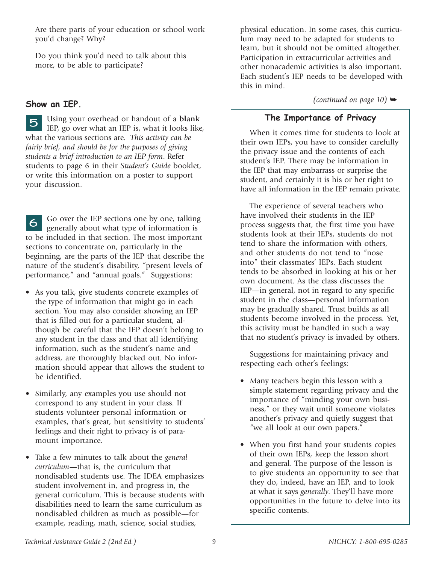Are there parts of your education or school work you'd change? Why?

Do you think you'd need to talk about this more, to be able to participate?

### Show an IEP.

Using your overhead or handout of a **blank** IEP, go over what an IEP is, what it looks like, what the various sections are. *This activity can be fairly brief, and should be for the purposes of giving students a brief introduction to an IEP form*. Refer students to page 6 in their *Student's Guide* booklet, or write this information on a poster to support your discussion. 5

Go over the IEP sections one by one, talking generally about what type of information is to be included in that section. The most important sections to concentrate on, particularly in the beginning, are the parts of the IEP that describe the nature of the student's disability, "present levels of performance," and "annual goals." Suggestions: 6

- As you talk, give students concrete examples of the type of information that might go in each section. You may also consider showing an IEP that is filled out for a particular student, although be careful that the IEP doesn't belong to any student in the class and that all identifying information, such as the student's name and address, are thoroughly blacked out. No information should appear that allows the student to be identified.
- Similarly, any examples you use should not correspond to any student in your class. If students volunteer personal information or examples, that's great, but sensitivity to students' feelings and their right to privacy is of paramount importance.
- Take a few minutes to talk about the *general curriculum*—that is, the curriculum that nondisabled students use. The IDEA emphasizes student involvement in, and progress in, the general curriculum. This is because students with disabilities need to learn the same curriculum as nondisabled children as much as possible—for example, reading, math, science, social studies,

physical education. In some cases, this curriculum may need to be adapted for students to learn, but it should not be omitted altogether. Participation in extracurricular activities and other nonacademic activities is also important. Each student's IEP needs to be developed with this in mind.

*(continued on page 10)*  $\rightarrow$ 

## The Importance of Privacy

When it comes time for students to look at their own IEPs, you have to consider carefully the privacy issue and the contents of each student's IEP. There may be information in the IEP that may embarrass or surprise the student, and certainly it is his or her right to have all information in the IEP remain private.

The experience of several teachers who have involved their students in the IEP process suggests that, the first time you have students look at their IEPs, students do not tend to share the information with others, and other students do not tend to "nose into" their classmates' IEPs. Each student tends to be absorbed in looking at his or her own document. As the class discusses the IEP—in general, not in regard to any specific student in the class—personal information may be gradually shared. Trust builds as all students become involved in the process. Yet, this activity must be handled in such a way that no student's privacy is invaded by others.

Suggestions for maintaining privacy and respecting each other's feelings:

- Many teachers begin this lesson with a simple statement regarding privacy and the importance of "minding your own business," or they wait until someone violates another's privacy and quietly suggest that "we all look at our own papers."
- When you first hand your students copies of their own IEPs, keep the lesson short and general. The purpose of the lesson is to give students an opportunity to see that they do, indeed, have an IEP, and to look at what it says *generally*. They'll have more opportunities in the future to delve into its specific contents.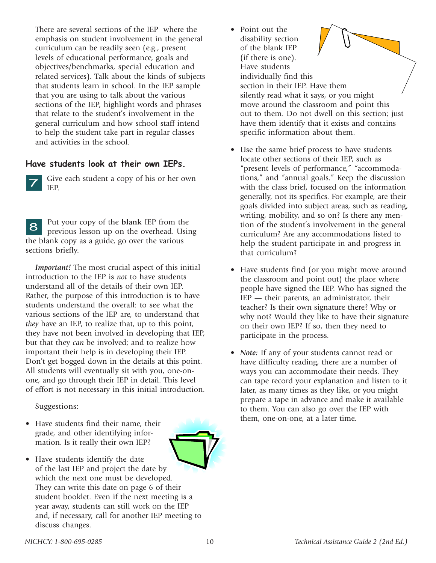There are several sections of the IEP where the emphasis on student involvement in the general curriculum can be readily seen (e.g., present levels of educational performance, goals and objectives/benchmarks, special education and related services). Talk about the kinds of subjects that students learn in school. In the IEP sample that you are using to talk about the various sections of the IEP, highlight words and phrases that relate to the student's involvement in the general curriculum and how school staff intend to help the student take part in regular classes and activities in the school.

#### Have students look at their own IEPs.

Give each student a copy of his or her own IEP. 7

Put your copy of the **blank** IEP from the previous lesson up on the overhead. Using the blank copy as a guide, go over the various sections briefly. 8

*Important!* The most crucial aspect of this initial introduction to the IEP is *not* to have students understand all of the details of their own IEP. Rather, the purpose of this introduction is to have students understand the overall: to see what the various sections of the IEP are, to understand that *they* have an IEP, to realize that, up to this point, they have not been involved in developing that IEP, but that they *can* be involved; and to realize how important their help is in developing their IEP. Don't get bogged down in the details at this point. All students will eventually sit with you, one-onone, and go through their IEP in detail. This level of effort is not necessary in this initial introduction.

Suggestions:

- Have students find their name, their grade, and other identifying information. Is it really their own IEP?
- Have students identify the date of the last IEP and project the date by which the next one must be developed. They can write this date on page 6 of their student booklet. Even if the next meeting is a year away, students can still work on the IEP and, if necessary, call for another IEP meeting to discuss changes.
- Point out the disability section of the blank IEP (if there is one). Have students individually find this section in their IEP. Have them silently read what it says, or you might move around the classroom and point this out to them. Do not dwell on this section; just have them identify that it exists and contains specific information about them.
- Use the same brief process to have students locate other sections of their IEP, such as "present levels of performance," "accommodations," and "annual goals." Keep the discussion with the class brief, focused on the information generally, not its specifics. For example, are their goals divided into subject areas, such as reading, writing, mobility, and so on? Is there any mention of the student's involvement in the general curriculum? Are any accommodations listed to help the student participate in and progress in that curriculum?
- Have students find (or you might move around the classroom and point out) the place where people have signed the IEP. Who has signed the IEP — their parents, an administrator, their teacher? Is their own signature there? Why or why not? Would they like to have their signature on their own IEP? If so, then they need to participate in the process.
- *Note:* If any of your students cannot read or have difficulty reading, there are a number of ways you can accommodate their needs. They can tape record your explanation and listen to it later, as many times as they like, or you might prepare a tape in advance and make it available to them. You can also go over the IEP with them, one-on-one, at a later time.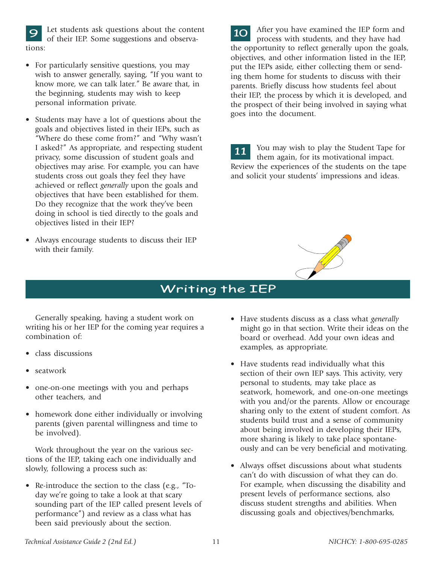**Example 10** Let students ask questions about the content of their IEP. Some suggestions and observa-<br> **10** After you have examined the IEP form and of their IEP. Some suggestions and observaof their IEP. Some suggestions and observations:

- For particularly sensitive questions, you may wish to answer generally, saying, "If you want to know more, we can talk later." Be aware that, in the beginning, students may wish to keep personal information private.
- Students may have a lot of questions about the goals and objectives listed in their IEPs, such as "Where do these come from?" and "Why wasn't I asked?" As appropriate, and respecting student privacy, some discussion of student goals and objectives may arise. For example, you can have students cross out goals they feel they have achieved or reflect *generally* upon the goals and objectives that have been established for them. Do they recognize that the work they've been doing in school is tied directly to the goals and objectives listed in their IEP?
- Always encourage students to discuss their IEP with their family.

process with students, and they have had the opportunity to reflect generally upon the goals, objectives, and other information listed in the IEP, put the IEPs aside, either collecting them or sending them home for students to discuss with their parents. Briefly discuss how students feel about their IEP, the process by which it is developed, and the prospect of their being involved in saying what goes into the document.

You may wish to play the Student Tape for them again, for its motivational impact. Review the experiences of the students on the tape and solicit your students' impressions and ideas. 11



# Writing the IEP

Generally speaking, having a student work on writing his or her IEP for the coming year requires a combination of:

- class discussions
- seatwork
- one-on-one meetings with you and perhaps other teachers, and
- homework done either individually or involving parents (given parental willingness and time to be involved).

Work throughout the year on the various sections of the IEP, taking each one individually and slowly, following a process such as:

• Re-introduce the section to the class (e.g., "Today we're going to take a look at that scary sounding part of the IEP called present levels of performance") and review as a class what has been said previously about the section.

- Have students discuss as a class what *generally* might go in that section. Write their ideas on the board or overhead. Add your own ideas and examples, as appropriate.
- Have students read individually what this section of their own IEP says. This activity, very personal to students, may take place as seatwork, homework, and one-on-one meetings with you and/or the parents. Allow or encourage sharing only to the extent of student comfort. As students build trust and a sense of community about being involved in developing their IEPs, more sharing is likely to take place spontaneously and can be very beneficial and motivating.
- Always offset discussions about what students can't do with discussion of what they can do. For example, when discussing the disability and present levels of performance sections, also discuss student strengths and abilities. When discussing goals and objectives/benchmarks,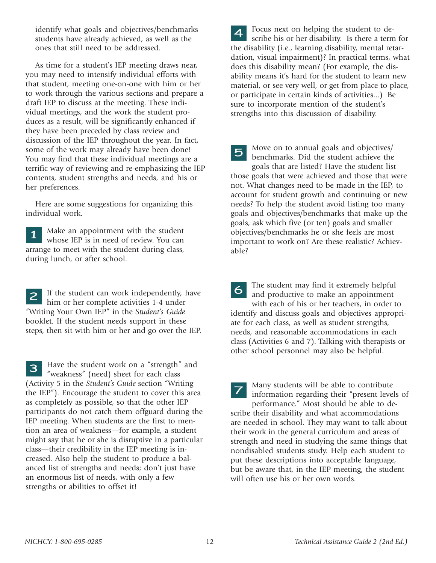identify what goals and objectives/benchmarks students have already achieved, as well as the ones that still need to be addressed.

As time for a student's IEP meeting draws near, you may need to intensify individual efforts with that student, meeting one-on-one with him or her to work through the various sections and prepare a draft IEP to discuss at the meeting. These individual meetings, and the work the student produces as a result, will be significantly enhanced if they have been preceded by class review and discussion of the IEP throughout the year. In fact, some of the work may already have been done! You may find that these individual meetings are a terrific way of reviewing and re-emphasizing the IEP contents, student strengths and needs, and his or her preferences.

Here are some suggestions for organizing this individual work.

Make an appointment with the student whose IEP is in need of review. You can arrange to meet with the student during class, during lunch, or after school. 1

If the student can work independently, have him or her complete activities 1-4 under "Writing Your Own IEP" in the *Student's Guide* booklet. If the student needs support in these steps, then sit with him or her and go over the IEP. 2

Have the student work on a "strength" and "weakness" (need) sheet for each class (Activity 5 in the *Student's Guide* section "Writing the IEP"). Encourage the student to cover this area as completely as possible, so that the other IEP participants do not catch them offguard during the IEP meeting. When students are the first to mention an area of weakness—for example, a student might say that he or she is disruptive in a particular class—their credibility in the IEP meeting is increased. Also help the student to produce a balanced list of strengths and needs; don't just have an enormous list of needs, with only a few strengths or abilities to offset it! 3

**4** Focus next on helping the student to describe his or her disability. Is there a term scribe his or her disability. Is there a term for the disability (i.e., learning disability, mental retardation, visual impairment)? In practical terms, what does this disability mean? (For example, the disability means it's hard for the student to learn new material, or see very well, or get from place to place, or participate in certain kinds of activities...) Be sure to incorporate mention of the student's strengths into this discussion of disability.

Move on to annual goals and objectives/ benchmarks. Did the student achieve the goals that are listed? Have the student list those goals that were achieved and those that were not. What changes need to be made in the IEP, to account for student growth and continuing or new needs? To help the student avoid listing too many goals and objectives/benchmarks that make up the goals, ask which five (or ten) goals and smaller objectives/benchmarks he or she feels are most important to work on? Are these realistic? Achievable? 5

The student may find it extremely helpful and productive to make an appointment with each of his or her teachers, in order to identify and discuss goals and objectives appropriate for each class, as well as student strengths, needs, and reasonable accommodations in each class (Activities 6 and 7). Talking with therapists or other school personnel may also be helpful. 6

Many students will be able to contribute information regarding their "present levels of performance." Most should be able to describe their disability and what accommodations are needed in school. They may want to talk about their work in the general curriculum and areas of strength and need in studying the same things that nondisabled students study. Help each student to put these descriptions into acceptable language, but be aware that, in the IEP meeting, the student will often use his or her own words. 7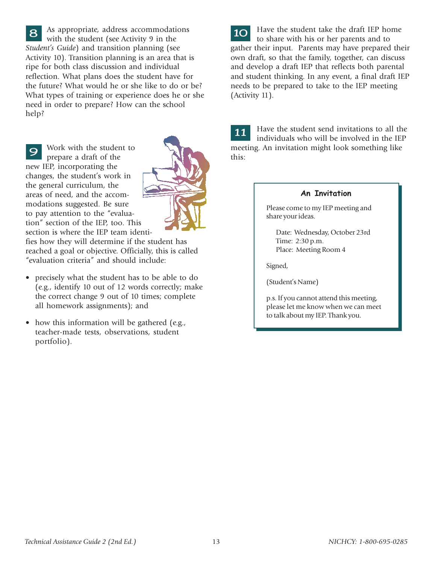As appropriate, address accommodations with the student (see Activity 9 in the *Student's Guide*) and transition planning (see Activity 10). Transition planning is an area that is ripe for both class discussion and individual reflection. What plans does the student have for the future? What would he or she like to do or be? What types of training or experience does he or she need in order to prepare? How can the school help? 8

Work with the student to prepare a draft of the new IEP, incorporating the changes, the student's work in the general curriculum, the areas of need, and the accommodations suggested. Be sure to pay attention to the "evaluation" section of the IEP, too. This section is where the IEP team identi-9



fies how they will determine if the student has reached a goal or objective. Officially, this is called "evaluation criteria" and should include:

- precisely what the student has to be able to do (e.g., identify 10 out of 12 words correctly; make the correct change 9 out of 10 times; complete all homework assignments); and
- how this information will be gathered (e.g., teacher-made tests, observations, student portfolio).

10 Have the student take the draft IEP home to share with his or her parents and to gather their input. Parents may have prepared their own draft, so that the family, together, can discuss and develop a draft IEP that reflects both parental and student thinking. In any event, a final draft IEP needs to be prepared to take to the IEP meeting (Activity 11).

Have the student send invitations to all the individuals who will be involved in the IEP meeting. An invitation might look something like this: 11

#### An Invitation

Please come to my IEP meeting and share your ideas.

Date: Wednesday, October 23rd Time: 2:30 p.m. Place: Meeting Room 4

Signed,

(Student's Name)

p.s. If you cannot attend this meeting, please let me know when we can meet to talk about my IEP. Thank you.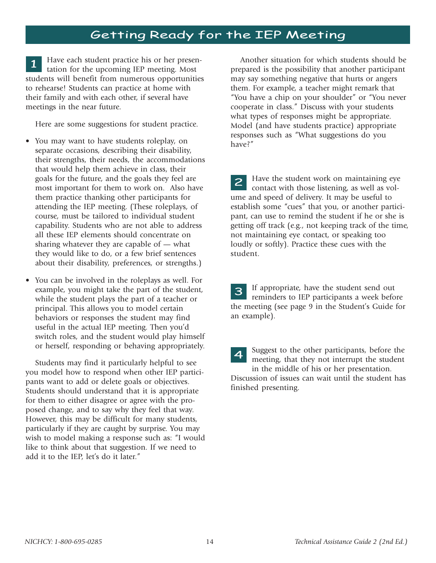# Getting Ready for the IEP Meeting

Have each student practice his or her presentation for the upcoming IEP meeting. Most students will benefit from numerous opportunities to rehearse! Students can practice at home with their family and with each other, if several have meetings in the near future. 1

Here are some suggestions for student practice.

- You may want to have students roleplay, on separate occasions, describing their disability, their strengths, their needs, the accommodations that would help them achieve in class, their goals for the future, and the goals they feel are most important for them to work on. Also have them practice thanking other participants for attending the IEP meeting. (These roleplays, of course, must be tailored to individual student capability. Students who are not able to address all these IEP elements should concentrate on sharing whatever they are capable of — what they would like to do, or a few brief sentences about their disability, preferences, or strengths.)
- You can be involved in the roleplays as well. For example, you might take the part of the student, while the student plays the part of a teacher or principal. This allows you to model certain behaviors or responses the student may find useful in the actual IEP meeting. Then you'd switch roles, and the student would play himself or herself, responding or behaving appropriately.

Students may find it particularly helpful to see you model how to respond when other IEP participants want to add or delete goals or objectives. Students should understand that it is appropriate for them to either disagree or agree with the proposed change, and to say why they feel that way. However, this may be difficult for many students, particularly if they are caught by surprise. You may wish to model making a response such as: "I would like to think about that suggestion. If we need to add it to the IEP, let's do it later."

Another situation for which students should be prepared is the possibility that another participant may say something negative that hurts or angers them. For example, a teacher might remark that "You have a chip on your shoulder" or "You never cooperate in class." Discuss with your students what types of responses might be appropriate. Model (and have students practice) appropriate responses such as "What suggestions do you have?"

Have the student work on maintaining eye contact with those listening, as well as volume and speed of delivery. It may be useful to establish some "cues" that you, or another participant, can use to remind the student if he or she is getting off track (e.g., not keeping track of the time, not maintaining eye contact, or speaking too loudly or softly). Practice these cues with the student. 2

If appropriate, have the student send out **3** If appropriate, have the student send out reminders to IEP participants a week before the meeting (see page 9 in the Student's Guide for an example).

Suggest to the other participants, before the meeting, that they not interrupt the student in the middle of his or her presentation. Discussion of issues can wait until the student has finished presenting. 4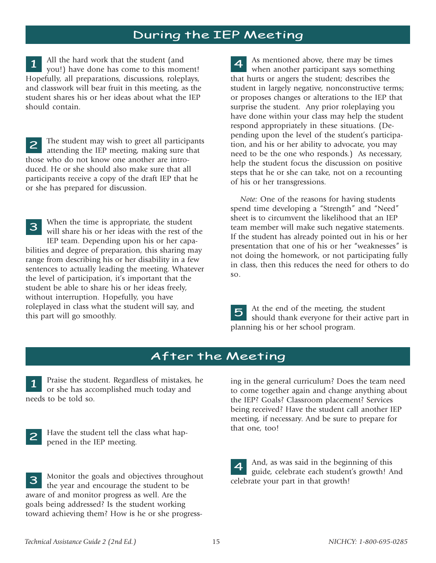## During the IEP Meeting

All the hard work that the student (and you!) have done has come to this moment! Hopefully, all preparations, discussions, roleplays, and classwork will bear fruit in this meeting, as the student shares his or her ideas about what the IEP should contain. 1

The student may wish to greet all participants attending the IEP meeting, making sure that those who do not know one another are introduced. He or she should also make sure that all participants receive a copy of the draft IEP that he or she has prepared for discussion. 2

When the time is appropriate, the student will share his or her ideas with the rest of the IEP team. Depending upon his or her capabilities and degree of preparation, this sharing may range from describing his or her disability in a few sentences to actually leading the meeting. Whatever the level of participation, it's important that the student be able to share his or her ideas freely, without interruption. Hopefully, you have roleplayed in class what the student will say, and this part will go smoothly. 3

As mentioned above, there may be times when another participant says something that hurts or angers the student; describes the student in largely negative, nonconstructive terms; or proposes changes or alterations to the IEP that surprise the student. Any prior roleplaying you have done within your class may help the student respond appropriately in these situations. (Depending upon the level of the student's participation, and his or her ability to advocate, you may need to be the one who responds.) As necessary, help the student focus the discussion on positive steps that he or she can take, not on a recounting of his or her transgressions. 4

*Note:* One of the reasons for having students spend time developing a "Strength" and "Need" sheet is to circumvent the likelihood that an IEP team member will make such negative statements. If the student has already pointed out in his or her presentation that one of his or her "weaknesses" is not doing the homework, or not participating fully in class, then this reduces the need for others to do so.

At the end of the meeting, the student should thank everyone for their active part in planning his or her school program. 5

## After the Meeting

Praise the student. Regardless of mistakes, he or she has accomplished much today and needs to be told so. 1



Have the student tell the class what happened in the IEP meeting.

Monitor the goals and objectives throughout the year and encourage the student to be aware of and monitor progress as well. Are the goals being addressed? Is the student working toward achieving them? How is he or she progress-3

ing in the general curriculum? Does the team need to come together again and change anything about the IEP? Goals? Classroom placement? Services being received? Have the student call another IEP meeting, if necessary. And be sure to prepare for that one, too!

| $\vert$ 4 | And, as was said in the beginning of this   |
|-----------|---------------------------------------------|
|           | guide, celebrate each student's growth! And |
|           | celebrate your part in that growth!         |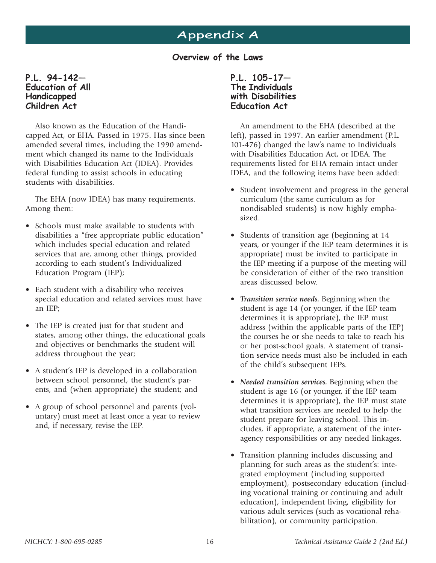# Appendix A

Overview of the Laws

#### P.L. 94-142 Education of All Handicapped Children Act

Also known as the Education of the Handicapped Act, or EHA. Passed in 1975. Has since been amended several times, including the 1990 amendment which changed its name to the Individuals with Disabilities Education Act (IDEA). Provides federal funding to assist schools in educating students with disabilities.

The EHA (now IDEA) has many requirements. Among them:

- Schools must make available to students with disabilities a "free appropriate public education" which includes special education and related services that are, among other things, provided according to each student's Individualized Education Program (IEP);
- Each student with a disability who receives special education and related services must have an IEP;
- The IEP is created just for that student and states, among other things, the educational goals and objectives or benchmarks the student will address throughout the year;
- A student's IEP is developed in a collaboration between school personnel, the student's parents, and (when appropriate) the student; and
- A group of school personnel and parents (voluntary) must meet at least once a year to review and, if necessary, revise the IEP.

P.L. 105-17 The Individuals with Disabilities Education Act

An amendment to the EHA (described at the left), passed in 1997. An earlier amendment (P.L. 101-476) changed the law's name to Individuals with Disabilities Education Act, or IDEA. The requirements listed for EHA remain intact under IDEA, and the following items have been added:

- Student involvement and progress in the general curriculum (the same curriculum as for nondisabled students) is now highly emphasized.
- Students of transition age (beginning at 14 years, or younger if the IEP team determines it is appropriate) must be invited to participate in the IEP meeting if a purpose of the meeting will be consideration of either of the two transition areas discussed below.
- *Transition service needs.* Beginning when the student is age 14 (or younger, if the IEP team determines it is appropriate), the IEP must address (within the applicable parts of the IEP) the courses he or she needs to take to reach his or her post-school goals. A statement of transition service needs must also be included in each of the child's subsequent IEPs.
- *Needed transition services.* Beginning when the student is age 16 (or younger, if the IEP team determines it is appropriate), the IEP must state what transition services are needed to help the student prepare for leaving school. This includes, if appropriate, a statement of the interagency responsibilities or any needed linkages.
- Transition planning includes discussing and planning for such areas as the student's: integrated employment (including supported employment), postsecondary education (including vocational training or continuing and adult education), independent living, eligibility for various adult services (such as vocational rehabilitation), or community participation.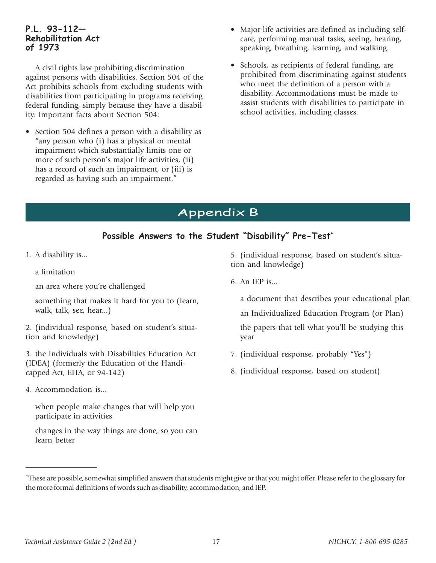#### P.L. 93-112 Rehabilitation Act of 1973

A civil rights law prohibiting discrimination against persons with disabilities. Section 504 of the Act prohibits schools from excluding students with disabilities from participating in programs receiving federal funding, simply because they have a disability. Important facts about Section 504:

• Section 504 defines a person with a disability as "any person who (i) has a physical or mental impairment which substantially limits one or more of such person's major life activities, (ii) has a record of such an impairment, or (iii) is regarded as having such an impairment."

- Major life activities are defined as including selfcare, performing manual tasks, seeing, hearing, speaking, breathing, learning, and walking.
- Schools, as recipients of federal funding, are prohibited from discriminating against students who meet the definition of a person with a disability. Accommodations must be made to assist students with disabilities to participate in school activities, including classes.

# Appendix B

## Possible Answers to the Student "Disability" Pre-Test\*

- 1. A disability is...
	- a limitation
	- an area where you're challenged

something that makes it hard for you to (learn, walk, talk, see, hear...)

2. (individual response, based on student's situation and knowledge)

3. the Individuals with Disabilities Education Act (IDEA) (formerly the Education of the Handicapped Act, EHA, or 94-142)

4. Accommodation is...

when people make changes that will help you participate in activities

changes in the way things are done, so you can learn better

5. (individual response, based on student's situation and knowledge)

6. An IEP is...

a document that describes your educational plan an Individualized Education Program (or Plan) the papers that tell what you'll be studying this year

- 7. (individual response, probably "Yes")
- 8. (individual response, based on student)

<sup>\*</sup>These are possible, somewhat simplified answers that students might give or that you might offer. Please refer to the glossary for the more formal definitions of words such as disability, accommodation, and IEP.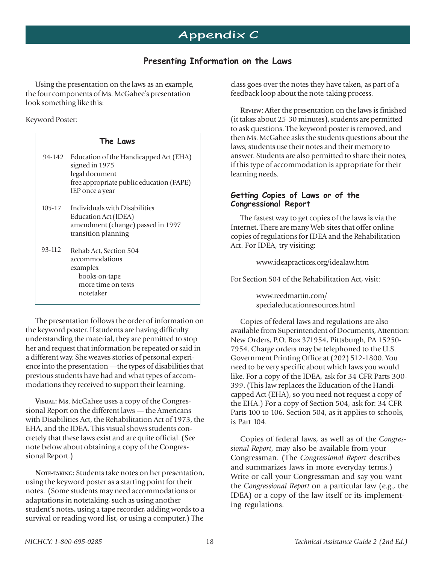## Presenting Information on the Laws

Using the presentation on the laws as an example, the four components of Ms. McGahee's presentation look something like this:

#### Keyword Poster:

| The Laws   |                                                                                                                                                  |
|------------|--------------------------------------------------------------------------------------------------------------------------------------------------|
|            | 94-142 Education of the Handicapped Act (EHA)<br>signed in 1975<br>legal document<br>free appropriate public education (FAPE)<br>IEP once a year |
| $105 - 17$ | Individuals with Disabilities<br>Education Act (IDEA)<br>amendment (change) passed in 1997<br>transition planning                                |
| 93-112     | Rehab Act, Section 504<br>accommodations<br>examples:<br>books-on-tape<br>more time on tests<br>notetaker                                        |

The presentation follows the order of information on the keyword poster. If students are having difficulty understanding the material, they are permitted to stop her and request that information be repeated or said in a different way. She weaves stories of personal experience into the presentation —the types of disabilities that previous students have had and what types of accommodations they received to support their learning.

**VISUAL:** Ms. McGahee uses a copy of the Congressional Report on the different laws — the Americans with Disabilities Act, the Rehabilitation Act of 1973, the EHA, and the IDEA. This visual shows students concretely that these laws exist and are quite official. (See note below about obtaining a copy of the Congressional Report.)

**NOTE-TAKING:** Students take notes on her presentation, using the keyword poster as a starting point for their notes. (Some students may need accommodations or adaptations in notetaking, such as using another student's notes, using a tape recorder, adding words to a survival or reading word list, or using a computer.) The

class goes over the notes they have taken, as part of a feedback loop about the note-taking process.

**REVIEW:** After the presentation on the laws is finished (it takes about 25-30 minutes), students are permitted to ask questions. The keyword poster is removed, and then Ms. McGahee asks the students questions about the laws; students use their notes and their memory to answer. Students are also permitted to share their notes, if this type of accommodation is appropriate for their learning needs.

#### Getting Copies of Laws or of the Congressional Report

The fastest way to get copies of the laws is via the Internet. There are many Web sites that offer online copies of regulations for IDEA and the Rehabilitation Act. For IDEA, try visiting:

www.ideapractices.org/idealaw.htm

For Section 504 of the Rehabilitation Act, visit:

www.reedmartin.com/ specialeducationresources.html

Copies of federal laws and regulations are also available from Superintendent of Documents, Attention: New Orders, P.O. Box 371954, Pittsburgh, PA 15250- 7954. Charge orders may be telephoned to the U.S. Government Printing Office at (202) 512-1800. You need to be very specific about which laws you would like. For a copy of the IDEA, ask for 34 CFR Parts 300- 399. (This law replaces the Education of the Handicapped Act (EHA), so you need not request a copy of the EHA.) For a copy of Section 504, ask for: 34 CFR Parts 100 to 106. Section 504, as it applies to schools, is Part 104.

Copies of federal laws, as well as of the *Congressional Report*, may also be available from your Congressman. (The *Congressional Report* describes and summarizes laws in more everyday terms.) Write or call your Congressman and say you want the *Congressional Report* on a particular law (e.g., the IDEA) or a copy of the law itself or its implementing regulations.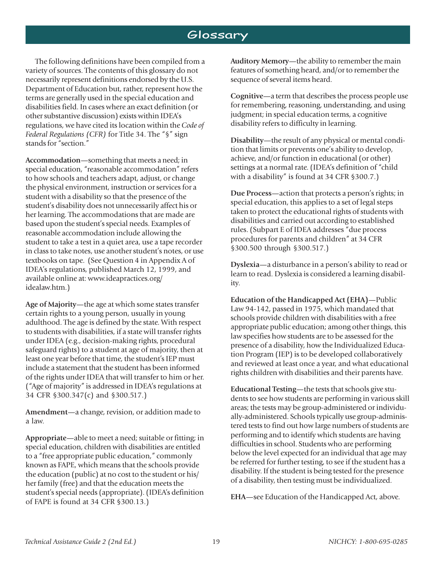## Glossary

The following definitions have been compiled from a variety of sources. The contents of this glossary do not necessarily represent definitions endorsed by the U.S. Department of Education but, rather, represent how the terms are generally used in the special education and disabilities field. In cases where an exact definition (or other substantive discussion) exists within IDEA's regulations, we have cited its location within the *Code of Federal Regulations (CFR)* for Title 34. The "§" sign stands for "section."

**Accommodation**—something that meets a need; in special education, "reasonable accommodation" refers to how schools and teachers adapt, adjust, or change the physical environment, instruction or services for a student with a disability so that the presence of the student's disability does not unnecessarily affect his or her learning. The accommodations that are made are based upon the student's special needs. Examples of reasonable accommodation include allowing the student to take a test in a quiet area, use a tape recorder in class to take notes, use another student's notes, or use textbooks on tape. (See Question 4 in Appendix A of IDEA's regulations, published March 12, 1999, and available online at: www.ideapractices.org/ idealaw.htm.)

**Age of Majority**—the age at which some states transfer certain rights to a young person, usually in young adulthood. The age is defined by the state. With respect to students with disabilities, if a state will transfer rights under IDEA (e.g., decision-making rights, procedural safeguard rights) to a student at age of majority, then at least one year before that time, the student's IEP must include a statement that the student has been informed of the rights under IDEA that will transfer to him or her. ("Age of majority" is addressed in IDEA's regulations at 34 CFR §300.347(c) and §300.517.)

**Amendment**—a change, revision, or addition made to a law.

**Appropriate**—able to meet a need; suitable or fitting; in special education, children with disabilities are entitled to a "free appropriate public education," commonly known as FAPE, which means that the schools provide the education (public) at no cost to the student or his/ her family (free) and that the education meets the student's special needs (appropriate). (IDEA's definition of FAPE is found at 34 CFR §300.13.)

**Auditory Memory**—the ability to remember the main features of something heard, and/or to remember the sequence of several items heard.

**Cognitive**—a term that describes the process people use for remembering, reasoning, understanding, and using judgment; in special education terms, a cognitive disability refers to difficulty in learning.

**Disability**—the result of any physical or mental condition that limits or prevents one's ability to develop, achieve, and/or function in educational (or other) settings at a normal rate. (IDEA's definition of "child with a disability" is found at 34 CFR §300.7.)

**Due Process**—action that protects a person's rights; in special education, this applies to a set of legal steps taken to protect the educational rights of students with disabilities and carried out according to established rules. (Subpart E of IDEA addresses "due process procedures for parents and children" at 34 CFR §300.500 through §300.517.)

**Dyslexia**—a disturbance in a person's ability to read or learn to read. Dyslexia is considered a learning disability.

**Education of the Handicapped Act (EHA)**—Public Law 94-142, passed in 1975, which mandated that schools provide children with disabilities with a free appropriate public education; among other things, this law specifies how students are to be assessed for the presence of a disability, how the Individualized Education Program (IEP) is to be developed collaboratively and reviewed at least once a year, and what educational rights children with disabilities and their parents have.

**Educational Testing**—the tests that schools give students to see how students are performing in various skill areas; the tests may be group-administered or individually-administered. Schools typically use group-administered tests to find out how large numbers of students are performing and to identify which students are having difficulties in school. Students who are performing below the level expected for an individual that age may be referred for further testing, to see if the student has a disability. If the student is being tested for the presence of a disability, then testing must be individualized.

**EHA**—see Education of the Handicapped Act, above.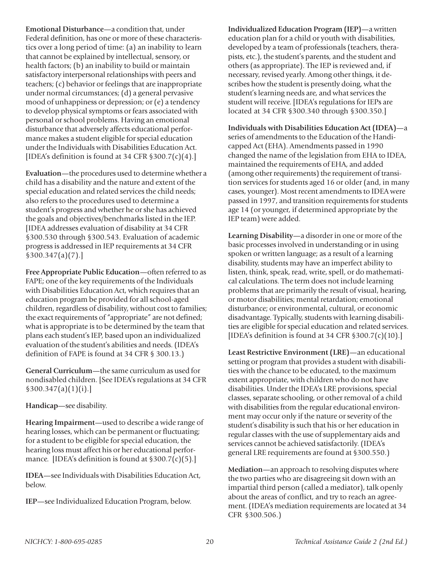**Emotional Disturbance**—a condition that, under Federal definition, has one or more of these characteristics over a long period of time: (a) an inability to learn that cannot be explained by intellectual, sensory, or health factors; (b) an inability to build or maintain satisfactory interpersonal relationships with peers and teachers; (c) behavior or feelings that are inappropriate under normal circumstances; (d) a general pervasive mood of unhappiness or depression; or (e) a tendency to develop physical symptoms or fears associated with personal or school problems. Having an emotional disturbance that adversely affects educational performance makes a student eligible for special education under the Individuals with Disabilities Education Act. [IDEA's definition is found at 34 CFR §300.7(c)(4).]

**Evaluation**—the procedures used to determine whether a child has a disability and the nature and extent of the special education and related services the child needs; also refers to the procedures used to determine a student's progress and whether he or she has achieved the goals and objectives/benchmarks listed in the IEP. [IDEA addresses evaluation of disability at 34 CFR §300.530 through §300.543. Evaluation of academic progress is addressed in IEP requirements at 34 CFR §300.347(a)(7).]

**Free Appropriate Public Education**—often referred to as FAPE; one of the key requirements of the Individuals with Disabilities Education Act, which requires that an education program be provided for all school-aged children, regardless of disability, without cost to families; the exact requirements of "appropriate" are not defined; what is appropriate is to be determined by the team that plans each student's IEP, based upon an individualized evaluation of the student's abilities and needs. (IDEA's definition of FAPE is found at 34 CFR § 300.13.)

**General Curriculum**—the same curriculum as used for nondisabled children. [See IDEA's regulations at 34 CFR §300.347(a)(1)(i).]

**Handicap**—see disability.

**Hearing Impairment**—used to describe a wide range of hearing losses, which can be permanent or fluctuating; for a student to be eligible for special education, the hearing loss must affect his or her educational performance. [IDEA's definition is found at §300.7(c)(5).]

**IDEA**—see Individuals with Disabilities Education Act, below.

**IEP**—see Individualized Education Program, below.

**Individualized Education Program (IEP)**—a written education plan for a child or youth with disabilities, developed by a team of professionals (teachers, therapists, etc.), the student's parents, and the student and others (as appropriate). The IEP is reviewed and, if necessary, revised yearly. Among other things, it describes how the student is presently doing, what the student's learning needs are, and what services the student will receive. [IDEA's regulations for IEPs are located at 34 CFR §300.340 through §300.350.]

**Individuals with Disabilities Education Act (IDEA)**—a series of amendments to the Education of the Handicapped Act (EHA). Amendments passed in 1990 changed the name of the legislation from EHA to IDEA, maintained the requirements of EHA, and added (among other requirements) the requirement of transition services for students aged 16 or older (and, in many cases, younger). Most recent amendments to IDEA were passed in 1997, and transition requirements for students age 14 (or younger, if determined appropriate by the IEP team) were added.

**Learning Disability**—a disorder in one or more of the basic processes involved in understanding or in using spoken or written language; as a result of a learning disability, students may have an imperfect ability to listen, think, speak, read, write, spell, or do mathematical calculations. The term does not include learning problems that are primarily the result of visual, hearing, or motor disabilities; mental retardation; emotional disturbance; or environmental, cultural, or economic disadvantage. Typically, students with learning disabilities are eligible for special education and related services. [IDEA's definition is found at 34 CFR  $$300.7(c)(10).]$ ]

**Least Restrictive Environment (LRE)**—an educational setting or program that provides a student with disabilities with the chance to be educated, to the maximum extent appropriate, with children who do not have disabilities. Under the IDEA's LRE provisions, special classes, separate schooling, or other removal of a child with disabilities from the regular educational environment may occur only if the nature or severity of the student's disability is such that his or her education in regular classes with the use of supplementary aids and services cannot be achieved satisfactorily. (IDEA's general LRE requirements are found at §300.550.)

**Mediation**—an approach to resolving disputes where the two parties who are disagreeing sit down with an impartial third person (called a mediator), talk openly about the areas of conflict, and try to reach an agreement. (IDEA's mediation requirements are located at 34 CFR §300.506.)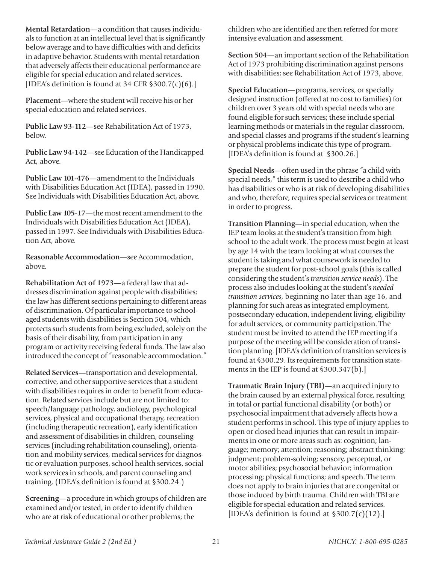**Mental Retardation**—a condition that causes individuals to function at an intellectual level that is significantly below average and to have difficulties with and deficits in adaptive behavior. Students with mental retardation that adversely affects their educational performance are eligible for special education and related services. [IDEA's definition is found at 34 CFR  $$300.7(c)(6).]$ ]

**Placement**—where the student will receive his or her special education and related services.

**Public Law 93-112**—see Rehabilitation Act of 1973, below.

**Public Law 94-142**—see Education of the Handicapped Act, above.

**Public Law 101-476**—amendment to the Individuals with Disabilities Education Act (IDEA), passed in 1990. See Individuals with Disabilities Education Act, above.

**Public Law 105-17**—the most recent amendment to the Individuals with Disabilities Education Act (IDEA), passed in 1997. See Individuals with Disabilities Education Act, above.

**Reasonable Accommodation**—see Accommodation, above.

**Rehabilitation Act of 1973**—a federal law that addresses discrimination against people with disabilities; the law has different sections pertaining to different areas of discrimination. Of particular importance to schoolaged students with disabilities is Section 504, which protects such students from being excluded, solely on the basis of their disability, from participation in any program or activity receiving federal funds. The law also introduced the concept of "reasonable accommodation."

**Related Services**—transportation and developmental, corrective, and other supportive services that a student with disabilities requires in order to benefit from education. Related services include but are not limited to: speech/language pathology, audiology, psychological services, physical and occupational therapy, recreation (including therapeutic recreation), early identification and assessment of disabilities in children, counseling services (including rehabilitation counseling), orientation and mobility services, medical services for diagnostic or evaluation purposes, school health services, social work services in schools, and parent counseling and training. (IDEA's definition is found at §300.24.)

**Screening**—a procedure in which groups of children are examined and/or tested, in order to identify children who are at risk of educational or other problems; the

children who are identified are then referred for more intensive evaluation and assessment.

**Section 504**—an important section of the Rehabilitation Act of 1973 prohibiting discrimination against persons with disabilities; see Rehabilitation Act of 1973, above.

**Special Education**—programs, services, or specially designed instruction (offered at no cost to families) for children over 3 years old with special needs who are found eligible for such services; these include special learning methods or materials in the regular classroom, and special classes and programs if the student's learning or physical problems indicate this type of program. [IDEA's definition is found at §300.26.]

**Special Needs**—often used in the phrase "a child with special needs," this term is used to describe a child who has disabilities or who is at risk of developing disabilities and who, therefore, requires special services or treatment in order to progress.

**Transition Planning**—in special education, when the IEP team looks at the student's transition from high school to the adult work. The process must begin at least by age 14 with the team looking at what courses the student is taking and what coursework is needed to prepare the student for post-school goals (this is called considering the student's *transition service needs*). The process also includes looking at the student's *needed transition services*, beginning no later than age 16, and planning for such areas as integrated employment, postsecondary education, independent living, eligibility for adult services, or community participation. The student must be invited to attend the IEP meeting if a purpose of the meeting will be consideration of transition planning. [IDEA's definition of transition services is found at §300.29. Its requirements for transition statements in the IEP is found at §300.347(b).]

**Traumatic Brain Injury (TBI)**—an acquired injury to the brain caused by an external physical force, resulting in total or partial functional disability (or both) or psychosocial impairment that adversely affects how a student performs in school. This type of injury applies to open or closed head injuries that can result in impairments in one or more areas such as: cognition; language; memory; attention; reasoning; abstract thinking; judgment; problem-solving; sensory, perceptual, or motor abilities; psychosocial behavior; information processing; physical functions; and speech. The term does not apply to brain injuries that are congenital or those induced by birth trauma. Children with TBI are eligible for special education and related services. [IDEA's definition is found at  $$300.7(c)(12).]$ ]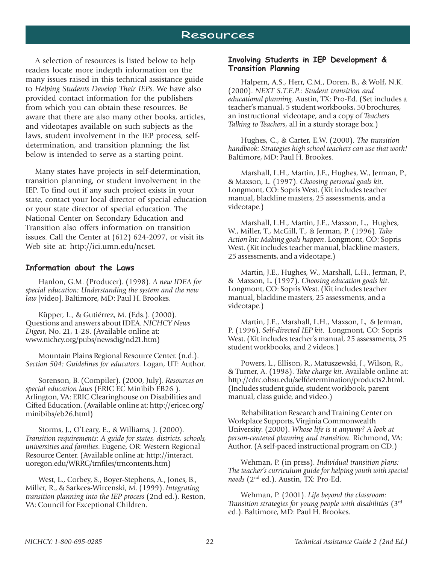## Resources

A selection of resources is listed below to help readers locate more indepth information on the many issues raised in this technical assistance guide to *Helping Students Develop Their IEPs*. We have also provided contact information for the publishers from which you can obtain these resources. Be aware that there are also many other books, articles, and videotapes available on such subjects as the laws, student involvement in the IEP process, selfdetermination, and transition planning; the list below is intended to serve as a starting point.

Many states have projects in self-determination, transition planning, or student involvement in the IEP. To find out if any such project exists in your state, contact your local director of special education or your state director of special education. The National Center on Secondary Education and Transition also offers information on transition issues. Call the Center at (612) 624-2097, or visit its Web site at: http://ici.umn.edu/ncset.

#### Information about the Laws

Hanlon, G.M. (Producer). (1998). *A new IDEA for special education: Understanding the system and the new law* [video]. Baltimore, MD: Paul H. Brookes.

Küpper, L., & Gutiérrez, M. (Eds.). (2000). Questions and answers about IDEA. *NICHCY News Digest*, No. 21, 1-28. (Available online at: www.nichcy.org/pubs/newsdig/nd21.htm)

Mountain Plains Regional Resource Center. (n.d.). *Section 504: Guidelines for educators*. Logan, UT: Author.

Sorenson, B. (Compiler). (2000, July). *Resources on special education laws* (ERIC EC Minibib EB26 ). Arlington, VA: ERIC Clearinghouse on Disabilities and Gifted Education. (Available online at: http://ericec.org/ minibibs/eb26.html)

Storms, J., O'Leary, E., & Williams, J. (2000). *Transition requirements: A guide for states, districts, schools, universities and families*. Eugene, OR: Western Regional Resource Center. (Available online at: http://interact. uoregon.edu/WRRC/trnfiles/trncontents.htm)

West, L., Corbey, S., Boyer-Stephens, A., Jones, B., Miller, R., & Sarkees-Wircenski, M. (1999). *Integrating transition planning into the IEP process* (2nd ed.). Reston, VA: Council for Exceptional Children.

#### Involving Students in IEP Development & Transition Planning

Halpern, A.S., Herr, C.M., Doren, B., & Wolf, N.K. (2000). *NEXT S.T.E.P.: Student transition and educational planning*. Austin, TX: Pro-Ed. (Set includes a teacher's manual, 5 student workbooks, 50 brochures, an instructional videotape, and a copy of *Teachers Talking to Teachers*, all in a sturdy storage box.)

Hughes, C., & Carter, E.W. (2000). *The transition handbook: Strategies high school teachers can use that work!* Baltimore, MD: Paul H. Brookes.

Marshall, L.H., Martin, J.E., Hughes, W., Jerman, P., & Maxson, L. (1997). *Choosing personal goals kit*. Longmont, CO: Sopris West. (Kit includes teacher manual, blackline masters, 25 assessments, and a videotape.)

Marshall, L.H., Martin, J.E., Maxson, L., Hughes, W., Miller, T., McGill, T., & Jerman, P. (1996). *Take Action kit: Making goals happen*. Longmont, CO: Sopris West. (Kit includes teacher manual, blackline masters, 25 assessments, and a videotape.)

Martin, J.E., Hughes, W., Marshall, L.H., Jerman, P., & Maxson, L. (1997). *Choosing education goals kit*. Longmont, CO: Sopris West. (Kit includes teacher manual, blackline masters, 25 assessments, and a videotape.)

Martin, J.E., Marshall, L.H., Maxson, L, & Jerman, P. (1996). *Self-directed IEP kit*. Longmont, CO: Sopris West. (Kit includes teacher's manual, 25 assessments, 25 student workbooks, and 2 videos.)

Powers, L., Ellison, R., Matuszewski, J., Wilson, R., & Turner, A. (1998). *Take charge kit*. Available online at: http://cdrc.ohsu.edu/selfdetermination/products2.html. (Includes student guide, student workbook, parent manual, class guide, and video.)

Rehabilitation Research and Training Center on Workplace Supports, Virginia Commonwealth University. (2000). *Whose life is it anyway? A look at person-centered planning and transition*. Richmond, VA: Author. (A self-paced instructional program on CD.)

Wehman, P. (in press). *Individual transition plans: The teacher's curriculum guide for helping youth with special needs* (2nd ed.). Austin, TX: Pro-Ed.

Wehman, P. (2001). *Life beyond the classroom: Transition strategies for young people with disabilities* (3rd ed.). Baltimore, MD: Paul H. Brookes.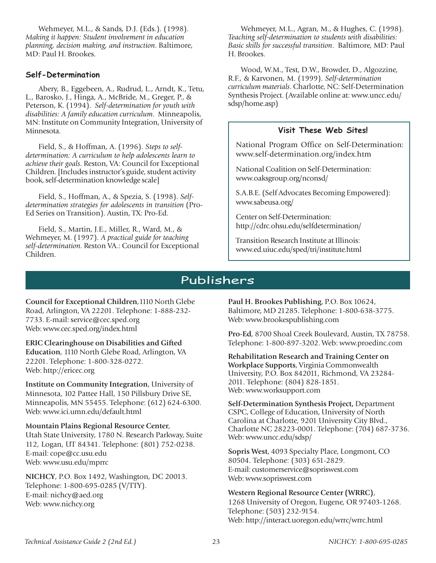Wehmeyer, M.L., & Sands, D.J. (Eds.). (1998). *Making it happen: Student involvement in education planning, decision making, and instruction*. Baltimore, MD: Paul H. Brookes.

#### Self-Determination

Abery, B., Eggebeen, A., Rudrud, L., Arndt, K., Tetu, L., Barosko, J., Hinga, A., McBride, M., Greger, P., & Peterson, K. (1994). *Self-determination for youth with disabilities: A family education curriculum*. Minneapolis, MN: Institute on Community Integration, University of Minnesota.

Field, S., & Hoffman, A. (1996). *Steps to selfdetermination: A curriculum to help adolescents learn to achieve their goals*. Reston, VA: Council for Exceptional Children. [Includes instructor's guide, student activity book, self-determination knowledge scale]

Field, S., Hoffman, A., & Spezia, S. (1998). *Selfdetermination strategies for adolescents in transition* (Pro-Ed Series on Transition). Austin, TX: Pro-Ed.

Field, S., Martin, J.E., Miller, R., Ward, M., & Wehmeyer, M. (1997). *A practical guide for teaching self-determination*. Reston VA.: Council for Exceptional Children.

Wehmeyer, M.L., Agran, M., & Hughes, C. (1998). *Teaching self-determination to students with disabilities: Basic skills for successful transition*. Baltimore, MD: Paul H. Brookes.

Wood, W.M., Test, D.W., Browder, D., Algozzine, R.F., & Karvonen, M. (1999). *Self-determination curriculum materials*. Charlotte, NC: Self-Determination Synthesis Project. (Available online at: www.uncc.edu/ sdsp/home.asp)

#### Visit These Web Sites!

National Program Office on Self-Determination: www.self-determination.org/index.htm

National Coalition on Self-Determination: www.oaksgroup.org/nconsd/

S.A.B.E. (Self Advocates Becoming Empowered): www.sabeusa.org/

Center on Self-Determination: http://cdrc.ohsu.edu/selfdetermination/

Transition Research Institute at Illinois: www.ed.uiuc.edu/sped/tri/institute.html

# Publishers

**Council for Exceptional Children**,1110 North Glebe Road, Arlington, VA 22201. Telephone: 1-888-232- 7733. E-mail: service@cec.sped.org Web: www.cec.sped.org/index.html

**ERIC Clearinghouse on Disabilities and Gifted**

**Education**, 1110 North Glebe Road, Arlington, VA 22201. Telephone: 1-800-328-0272. Web: http://ericec.org

**Institute on Community Integration**, University of Minnesota, 102 Pattee Hall, 150 Pillsbury Drive SE, Minneapolis, MN 55455. Telephone: (612) 624-6300. Web: www.ici.umn.edu/default.html

**Mountain Plains Regional Resource Center**, Utah State University, 1780 N. Research Parkway, Suite 112, Logan, UT 84341. Telephone: (801) 752-0238.

E-mail: cope@cc.usu.edu Web: www.usu.edu/mprrc

**NICHCY**, P.O. Box 1492, Washington, DC 20013. Telephone: 1-800-695-0285 (V/TTY). E-mail: nichcy@aed.org Web: www.nichcy.org

**Paul H. Brookes Publishing**, P.O. Box 10624, Baltimore, MD 21285. Telephone: 1-800-638-3775. Web: www.brookespublishing.com

**Pro-Ed**, 8700 Shoal Creek Boulevard, Austin, TX 78758. Telephone: 1-800-897-3202. Web: www.proedinc.com

**Rehabilitation Research and Training Center on Workplace Supports**, Virginia Commonwealth University, P.O. Box 842011, Richmond, VA 23284- 2011. Telephone: (804) 828-1851. Web: www.worksupport.com

**Self-Determination Synthesis Project,** Department CSPC, College of Education, University of North Carolina at Charlotte, 9201 University City Blvd., Charlotte NC 28223-0001. Telephone: (704) 687-3736. Web: www.uncc.edu/sdsp/

**Sopris West**, 4093 Specialty Place, Longmont, CO 80504. Telephone: (303) 651-2829. E-mail: customerservice@sopriswest.com Web: www.sopriswest.com

**Western Regional Resource Center (WRRC)**, 1268 University of Oregon, Eugene, OR 97403-1268. Telephone: (503) 232-9154. Web: http://interact.uoregon.edu/wrrc/wrrc.html